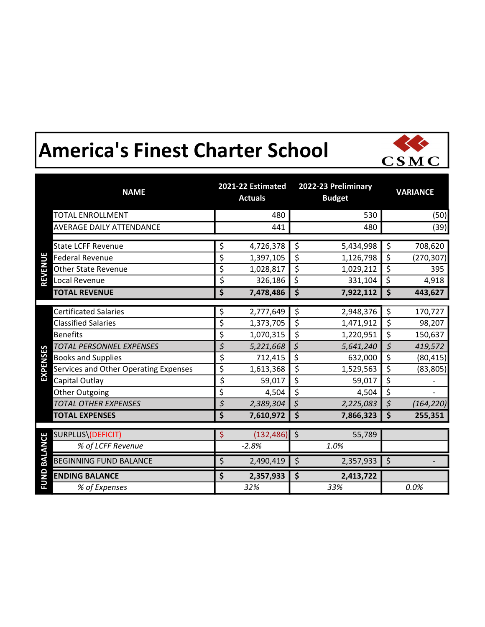## America's Finest Charter School



|                 | <b>NAME</b>                           |     | 2021-22 Estimated<br><b>Actuals</b> |         | 2022-23 Preliminary<br><b>Budget</b> |                     | <b>VARIANCE</b> |  |
|-----------------|---------------------------------------|-----|-------------------------------------|---------|--------------------------------------|---------------------|-----------------|--|
|                 | <b>TOTAL ENROLLMENT</b>               |     | 480                                 |         | 530                                  |                     | (50)            |  |
|                 | <b>AVERAGE DAILY ATTENDANCE</b>       |     | 441                                 |         | 480                                  |                     | (39)            |  |
|                 |                                       |     |                                     |         |                                      |                     |                 |  |
|                 | <b>State LCFF Revenue</b>             | \$  | 4,726,378                           | \$      | 5,434,998                            | \$                  | 708,620         |  |
| <b>REVENUE</b>  | <b>Federal Revenue</b>                | \$  | 1,397,105                           | \$      | 1,126,798                            | \$                  | (270, 307)      |  |
|                 | <b>Other State Revenue</b>            | \$  | 1,028,817                           | \$      | 1,029,212                            | $\overline{\xi}$    | 395             |  |
|                 | Local Revenue                         | \$  | 326,186                             | \$      | 331,104                              | \$                  | 4,918           |  |
|                 | <b>TOTAL REVENUE</b>                  | \$  | 7,478,486                           | \$      | 7,922,112                            | $\ddot{\bm{\zeta}}$ | 443,627         |  |
|                 |                                       |     |                                     |         |                                      |                     |                 |  |
|                 | <b>Certificated Salaries</b>          | \$  | 2,777,649                           | \$      | 2,948,376                            | $\zeta$             | 170,727         |  |
|                 | <b>Classified Salaries</b>            | \$  | 1,373,705                           | \$      | 1,471,912                            | $\zeta$             | 98,207          |  |
|                 | <b>Benefits</b>                       | \$  | 1,070,315                           | \$      | 1,220,951                            | \$                  | 150,637         |  |
|                 | TOTAL PERSONNEL EXPENSES              | \$  | 5,221,668                           | \$      | 5,641,240                            | $\zeta$             | 419,572         |  |
| <b>EXPENSES</b> | <b>Books and Supplies</b>             | \$  | 712,415                             | \$      | 632,000                              | $\overline{\xi}$    | (80, 415)       |  |
|                 | Services and Other Operating Expenses | \$  | 1,613,368                           | \$      | 1,529,563                            | \$                  | (83, 805)       |  |
|                 | Capital Outlay                        | \$  | 59,017                              | \$      | 59,017                               | \$                  |                 |  |
|                 | Other Outgoing                        | \$  | 4,504                               | \$      | 4,504                                | \$                  |                 |  |
|                 | <b>TOTAL OTHER EXPENSES</b>           | \$  | 2,389,304                           | \$      | 2,225,083                            | $\overline{\xi}$    | (164, 220)      |  |
|                 | <b>TOTAL EXPENSES</b>                 | \$  | 7,610,972                           | \$      | 7,866,323                            | $\zeta$             | 255,351         |  |
|                 | SURPLUS\(DEFICIT)                     | \$  | (132, 486)                          | $\zeta$ | 55,789                               |                     |                 |  |
|                 |                                       |     | $-2.8%$                             |         | 1.0%                                 |                     |                 |  |
| <b>BALANCE</b>  | % of LCFF Revenue                     |     |                                     |         |                                      |                     |                 |  |
|                 | <b>BEGINNING FUND BALANCE</b>         | \$  | 2,490,419                           | $\zeta$ | 2,357,933                            | $\zeta$             |                 |  |
| FUND            | <b>ENDING BALANCE</b>                 | \$  | 2,357,933                           | \$      | 2,413,722                            |                     |                 |  |
|                 | % of Expenses                         | 32% |                                     | 33%     |                                      | 0.0%                |                 |  |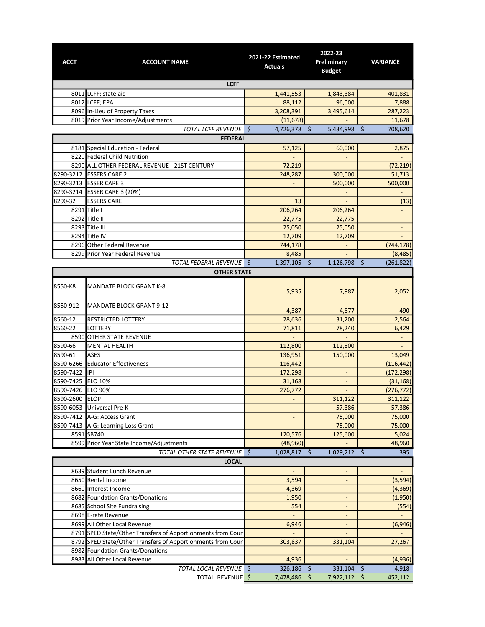| <b>ACCT</b>       | <b>ACCOUNT NAME</b>                                         | 2021-22 Estimated<br><b>Actuals</b> | 2022-23<br>Preliminary<br><b>Budget</b> | <b>VARIANCE</b>              |  |  |  |  |
|-------------------|-------------------------------------------------------------|-------------------------------------|-----------------------------------------|------------------------------|--|--|--|--|
| <b>LCFF</b>       |                                                             |                                     |                                         |                              |  |  |  |  |
|                   | 8011 LCFF; state aid                                        | 1,441,553                           | 1,843,384                               | 401,831                      |  |  |  |  |
|                   | 8012 LCFF; EPA                                              | 88,112                              | 96,000                                  | 7,888                        |  |  |  |  |
|                   | 8096 In-Lieu of Property Taxes                              | 3,208,391                           | 3,495,614                               | 287,223                      |  |  |  |  |
|                   | 8019 Prior Year Income/Adjustments                          | (11, 678)                           |                                         | 11,678                       |  |  |  |  |
|                   | TOTAL LCFF REVENUE \$                                       | 4,726,378 \$                        | 5,434,998 \$                            | 708,620                      |  |  |  |  |
|                   | <b>FEDERAL</b>                                              |                                     |                                         |                              |  |  |  |  |
|                   | 8181 Special Education - Federal                            | 57,125                              | 60,000                                  | 2,875                        |  |  |  |  |
|                   | 8220 Federal Child Nutrition                                |                                     |                                         |                              |  |  |  |  |
|                   | 8290 ALL OTHER FEDERAL REVENUE - 21ST CENTURY               | 72,219                              |                                         | (72, 219)                    |  |  |  |  |
|                   | 8290-3212 ESSERS CARE 2                                     | 248,287                             | 300,000                                 | 51,713                       |  |  |  |  |
| 8290-3213         | <b>ESSER CARE 3</b>                                         |                                     | 500,000                                 | 500,000                      |  |  |  |  |
| 8290-3214         | <b>ESSER CARE 3 (20%)</b>                                   |                                     | $\overline{\phantom{a}}$                |                              |  |  |  |  |
| 8290-32           | <b>ESSERS CARE</b>                                          | 13                                  | $\overline{\phantom{a}}$                | (13)                         |  |  |  |  |
|                   | 8291 Title I                                                | 206,264                             | 206,264                                 |                              |  |  |  |  |
|                   | 8292 Title II                                               | 22,775                              | 22,775                                  | $\qquad \qquad -$            |  |  |  |  |
|                   | 8293 Title III                                              | 25,050                              | 25,050                                  | $\qquad \qquad \blacksquare$ |  |  |  |  |
|                   | 8294 Title IV                                               | 12,709                              | 12,709                                  |                              |  |  |  |  |
|                   | 8296 Other Federal Revenue                                  | 744,178                             |                                         | (744, 178)                   |  |  |  |  |
|                   | 8299 Prior Year Federal Revenue                             | 8,485                               | $\blacksquare$                          |                              |  |  |  |  |
|                   | TOTAL FEDERAL REVENUE \$                                    | 1,397,105                           | \$<br>1,126,798 \$                      | (8, 485)                     |  |  |  |  |
|                   |                                                             |                                     |                                         | (261, 822)                   |  |  |  |  |
|                   | <b>OTHER STATE</b>                                          |                                     |                                         |                              |  |  |  |  |
| 8550-K8           | <b>MANDATE BLOCK GRANT K-8</b>                              | 5,935                               | 7,987                                   | 2,052                        |  |  |  |  |
| 8550-912          | <b>MANDATE BLOCK GRANT 9-12</b>                             | 4,387                               | 4,877                                   | 490                          |  |  |  |  |
| 8560-12           | RESTRICTED LOTTERY                                          | 28,636                              | 31,200                                  | 2,564                        |  |  |  |  |
| 8560-22           | LOTTERY                                                     | 71,811                              | 78,240                                  | 6,429                        |  |  |  |  |
|                   | 8590 OTHER STATE REVENUE                                    |                                     |                                         | $\overline{\phantom{a}}$     |  |  |  |  |
| 8590-66           | <b>MENTAL HEALTH</b>                                        | 112,800                             | 112,800                                 |                              |  |  |  |  |
| 8590-61           | <b>ASES</b>                                                 | 136,951                             | 150,000                                 | 13,049                       |  |  |  |  |
| 8590-6266         | <b>Educator Effectiveness</b>                               | 116,442                             | ÷.                                      | (116, 442)                   |  |  |  |  |
| 8590-7422         | IPI                                                         | 172,298                             | $\overline{\phantom{a}}$                | (172, 298)                   |  |  |  |  |
| 8590-7425         | <b>ELO 10%</b>                                              | 31,168                              | $\overline{\phantom{a}}$                | (31, 168)                    |  |  |  |  |
| 8590-7426 ELO 90% |                                                             | 276,772                             |                                         | (276, 772)                   |  |  |  |  |
| 8590-2600         | <b>ELOP</b>                                                 |                                     | 311,122                                 | 311,122                      |  |  |  |  |
| 8590-6053         | Universal Pre-K                                             | $\overline{\phantom{a}}$            | 57,386                                  | 57,386                       |  |  |  |  |
| 8590-7412         | A-G: Access Grant                                           |                                     | 75,000                                  | 75,000                       |  |  |  |  |
| 8590-7413         | A-G: Learning Loss Grant                                    |                                     | 75,000                                  | 75,000                       |  |  |  |  |
|                   | 8591 SB740                                                  | 120,576                             | 125,600                                 | 5,024                        |  |  |  |  |
|                   | 8599 Prior Year State Income/Adjustments                    | (48,960)                            |                                         | 48,960                       |  |  |  |  |
|                   | TOTAL OTHER STATE REVENUE \$                                | 1,028,817 \$                        | 1,029,212 \$                            | 395                          |  |  |  |  |
|                   | <b>LOCAL</b>                                                |                                     |                                         |                              |  |  |  |  |
|                   | 8639 Student Lunch Revenue                                  | $\overline{\phantom{a}}$            | $\overline{\phantom{a}}$                | $\overline{\phantom{a}}$     |  |  |  |  |
|                   | 8650 Rental Income                                          | 3,594                               | $\overline{\phantom{a}}$                | (3, 594)                     |  |  |  |  |
|                   | 8660 Interest Income                                        | 4,369                               | $\overline{\phantom{a}}$                | (4, 369)                     |  |  |  |  |
|                   | 8682 Foundation Grants/Donations                            | 1,950                               | $\overline{\phantom{a}}$                | (1,950)                      |  |  |  |  |
|                   | 8685 School Site Fundraising                                | 554                                 |                                         | (554)                        |  |  |  |  |
|                   | 8698 E-rate Revenue                                         | $\omega$                            | ÷,                                      | $\blacksquare$               |  |  |  |  |
|                   | 8699 All Other Local Revenue                                | 6,946                               | $\blacksquare$                          | (6, 946)                     |  |  |  |  |
|                   | 8791 SPED State/Other Transfers of Apportionments from Coun |                                     |                                         |                              |  |  |  |  |
|                   | 8792 SPED State/Other Transfers of Apportionments from Coun | 303,837                             | 331,104                                 | 27,267                       |  |  |  |  |
|                   | 8982 Foundation Grants/Donations                            |                                     |                                         |                              |  |  |  |  |
|                   | 8983 All Other Local Revenue                                |                                     |                                         |                              |  |  |  |  |
|                   |                                                             | 4,936                               |                                         | (4,936)                      |  |  |  |  |
|                   | TOTAL LOCAL REVENUE \$                                      | 326,186                             | \$<br>331,104                           | \$<br>4,918                  |  |  |  |  |
|                   | TOTAL REVENUE \$                                            | 7,478,486                           | \$<br>7,922,112                         | 452,112<br>\$.               |  |  |  |  |